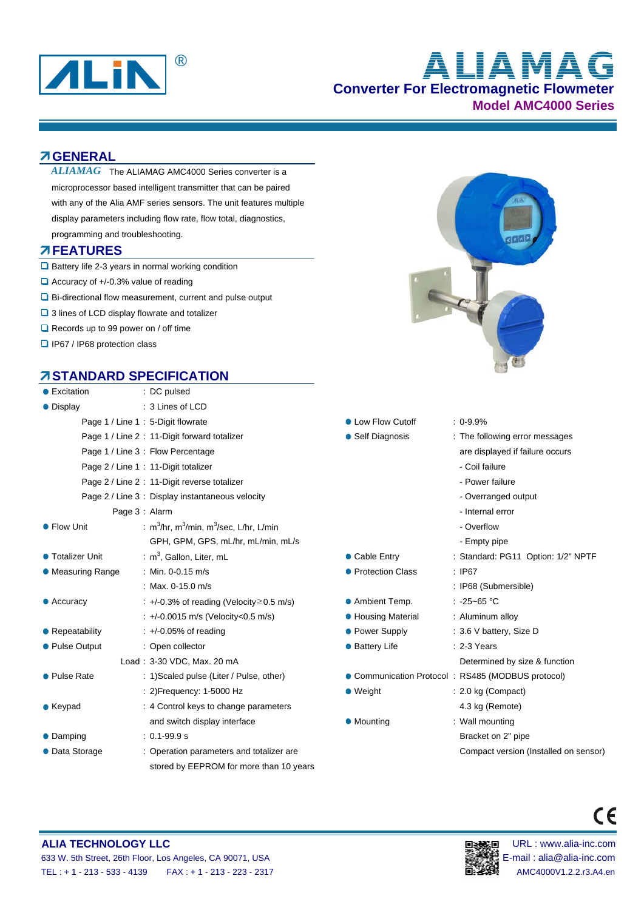

# **Converter For Electromagnetic Flowmeter Model AMC4000 Series ALIAMAG**

#### **GENERAL**

 $ALIAMAG$  The ALIAMAG AMC4000 Series converter is a microprocessor based intelligent transmitter that can be paired with any of the Alia AMF series sensors. The unit features multiple display parameters including flow rate, flow total, diagnostics, programming and troubleshooting.

#### **FEATURES**

- $\square$  Battery life 2-3 years in normal working condition
- $\Box$  Accuracy of +/-0.3% value of reading
- Bi-directional flow measurement, current and pulse output
- 3 lines of LCD display flowrate and totalizer
- Records up to 99 power on / off time
- □ IP67 / IP68 protection class

## **STANDARD SPECIFICATION**

| ● Excitation                                 | : DC pulsed                                         |                                   |                      |
|----------------------------------------------|-----------------------------------------------------|-----------------------------------|----------------------|
| • Display                                    | : 3 Lines of LCD                                    |                                   |                      |
|                                              | Page 1 / Line 1: 5-Digit flowrate                   | • Low Flow Cutoff                 | $: 0.9.9\%$          |
| Page 1 / Line 2: 11-Digit forward totalizer  | • Self Diagnosis                                    | : The follow                      |                      |
| Page 1 / Line 3 : Flow Percentage            |                                                     | are displa                        |                      |
|                                              | Page 2 / Line 1: 11-Digit totalizer                 |                                   | - Coil failu         |
| Page 2 / Line 2 : 11-Digit reverse totalizer |                                                     | - Power fa                        |                      |
|                                              | Page 2 / Line 3 : Display instantaneous velocity    |                                   | - Overrano           |
|                                              | Page 3: Alarm                                       |                                   | - Internal e         |
| • Flow Unit                                  | : $m^3/hr$ , $m^3/m$ in, $m^3/s$ ec, L/hr, L/min    | - Overflow                        |                      |
|                                              | GPH, GPM, GPS, mL/hr, mL/min, mL/s                  |                                   | - Empty pi           |
| ● Totalizer Unit                             | : $m^3$ , Gallon, Liter, mL                         | • Cable Entry                     | : Standard:          |
| • Measuring Range                            | : Min. 0-0.15 m/s                                   | • Protection Class                | : IP67               |
|                                              | : Max. 0-15.0 m/s                                   |                                   | : IP68 (Sub          |
| $\bullet$ Accuracy                           | $\div$ +/-0.3% of reading (Velocity $\geq$ 0.5 m/s) | • Ambient Temp.                   | ∴ -25~65 °C          |
|                                              | : +/-0.0015 m/s (Velocity<0.5 m/s)                  | ● Housing Material                | : Aluminum           |
| • Repeatability                              | $\div$ +/-0.05% of reading                          | • Power Supply                    | $: 3.6 V$ batte      |
| • Pulse Output                               | : Open collector                                    | • Battery Life                    | $: 2-3$ Years        |
|                                              | Load: 3-30 VDC, Max. 20 mA                          |                                   | Determine            |
| ● Pulse Rate                                 | : 1) Scaled pulse (Liter / Pulse, other)            | Communication Protocol : RS485 (M |                      |
|                                              | : 2) Frequency: 1-5000 Hz                           | $\bullet$ Weight                  | $: 2.0$ kg (Cc       |
| $\bullet$ Keypad                             | : 4 Control keys to change parameters               |                                   | 4.3 kg ( $Re$        |
|                                              | and switch display interface                        | • Mounting                        | : Wall mour          |
| • Damping                                    | $: 0.1 - 99.9 s$                                    |                                   | Bracket or           |
| • Data Storage                               | : Operation parameters and totalizer are            |                                   | Compact <sup>,</sup> |
|                                              | stored by EEPROM for more than 10 years             |                                   |                      |



- 
- : The following error messages are displayed if failure occurs
	- Coil failure
	- Power failure
	- Overranged output
- Internal error
- Overflow
- Empty pipe
- : Standard: PG11 Option: 1/2" NPTF
- - : IP68 (Submersible)
	-
	- : Aluminum alloy
	- : 3.6 V battery, Size D
	-
	- Determined by size & function
- Pulse Bulse (MODBUS protocol)
	- : 2.0 kg (Compact) 4.3 kg (Remote)
	- : Wall mounting Bracket on 2" pipe Compact version (Installed on sensor)



 $\epsilon$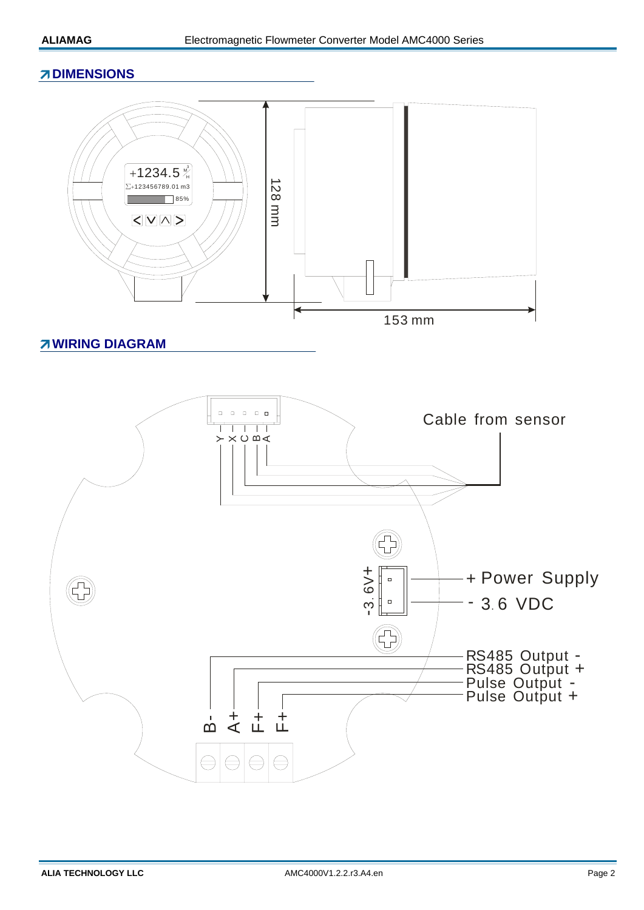## **ZDIMENSIONS**



# **WIRING DIAGRAM**

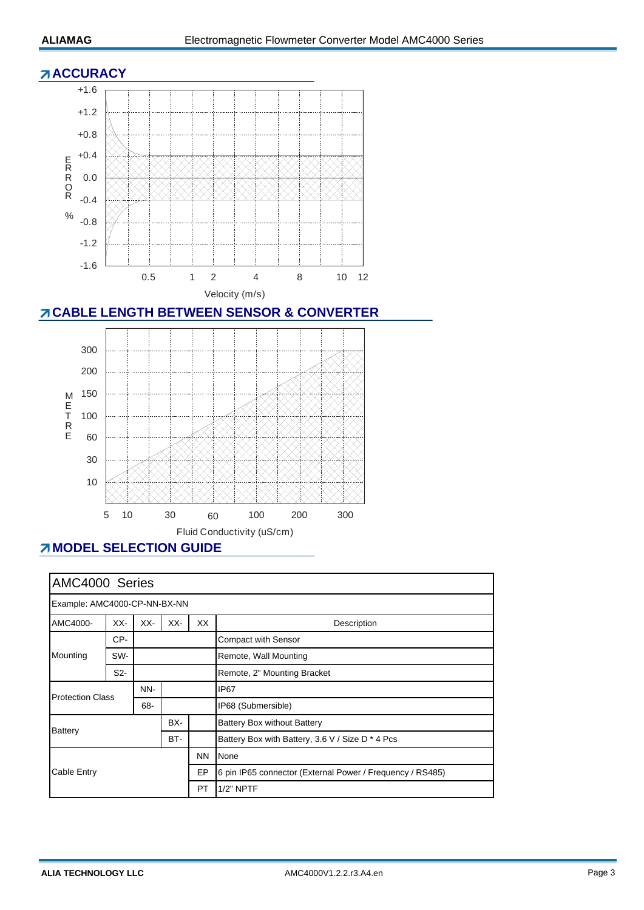#### **ACCURACY**



# **CABLE LENGTH BETWEEN SENSOR & CONVERTER**



# **MODEL SELECTION GUIDE**

| AMC4000 Series                       |                  |     |                                                  |    |                                                           |  |  |
|--------------------------------------|------------------|-----|--------------------------------------------------|----|-----------------------------------------------------------|--|--|
| Example: AMC4000-CP-NN-BX-NN         |                  |     |                                                  |    |                                                           |  |  |
| AMC4000-                             | XX-              | XX- | XX-                                              | XX | Description                                               |  |  |
| Mounting                             | CP-              |     |                                                  |    | <b>Compact with Sensor</b>                                |  |  |
|                                      | SW-              |     |                                                  |    | Remote, Wall Mounting                                     |  |  |
|                                      | S <sub>2</sub> - |     |                                                  |    | Remote, 2" Mounting Bracket                               |  |  |
| <b>Protection Class</b>              |                  | NN- |                                                  |    | IP <sub>67</sub>                                          |  |  |
|                                      |                  | 68- |                                                  |    | IP68 (Submersible)                                        |  |  |
| BX-<br><b>Battery</b><br>BT-         |                  |     | <b>Battery Box without Battery</b>               |    |                                                           |  |  |
|                                      |                  |     | Battery Box with Battery, 3.6 V / Size D * 4 Pcs |    |                                                           |  |  |
| <b>NN</b><br>Cable Entry<br>EP<br>PT |                  |     |                                                  |    | None                                                      |  |  |
|                                      |                  |     |                                                  |    | 6 pin IP65 connector (External Power / Frequency / RS485) |  |  |
|                                      |                  |     |                                                  |    | $1/2"$ NPTF                                               |  |  |